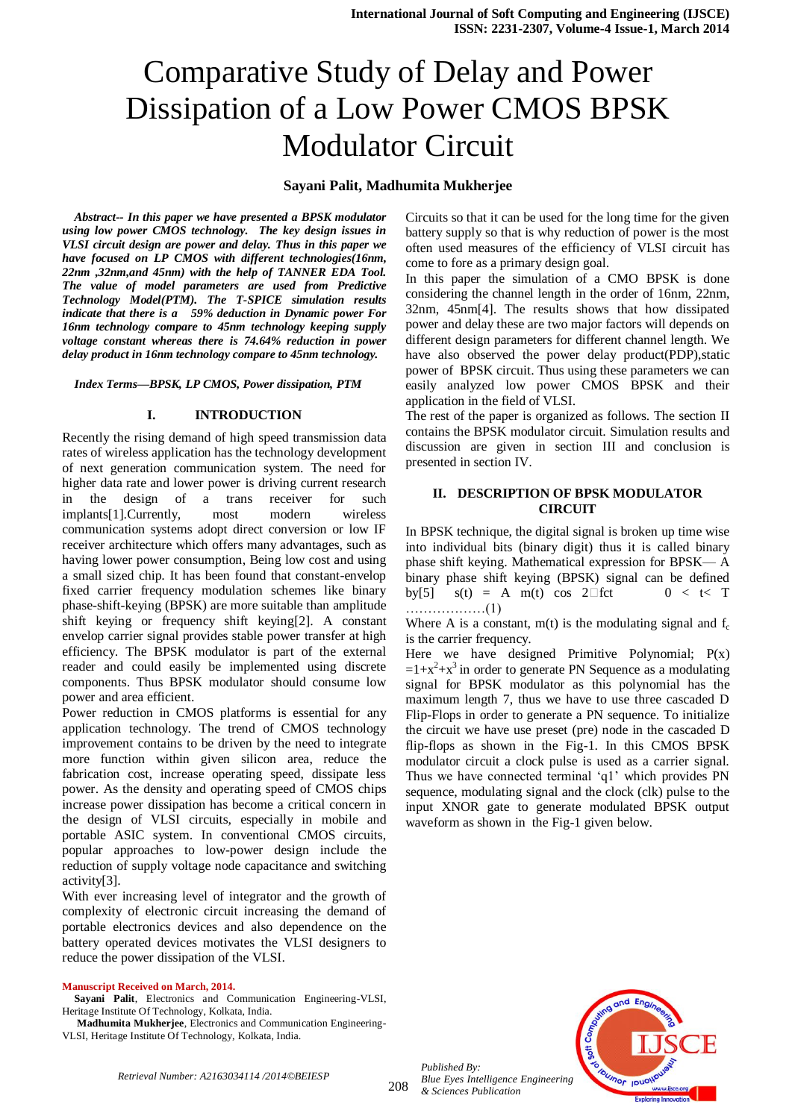# Comparative Study of Delay and Power Dissipation of a Low Power CMOS BPSK Modulator Circuit

## **Sayani Palit, Madhumita Mukherjee**

*Abstract-- In this paper we have presented a BPSK modulator using low power CMOS technology. The key design issues in VLSI circuit design are power and delay. Thus in this paper we have focused on LP CMOS with different technologies(16nm, 22nm ,32nm,and 45nm) with the help of TANNER EDA Tool. The value of model parameters are used from Predictive Technology Model(PTM). The T-SPICE simulation results indicate that there is a 59% deduction in Dynamic power For 16nm technology compare to 45nm technology keeping supply voltage constant whereas there is 74.64% reduction in power delay product in 16nm technology compare to 45nm technology.* 

*Index Terms—BPSK, LP CMOS, Power dissipation, PTM*

### **I. INTRODUCTION**

Recently the rising demand of high speed transmission data rates of wireless application has the technology development of next generation communication system. The need for higher data rate and lower power is driving current research in the design of a trans receiver for such implants[1].Currently, most modern wireless communication systems adopt direct conversion or low IF receiver architecture which offers many advantages, such as having lower power consumption, Being low cost and using a small sized chip. It has been found that constant-envelop fixed carrier frequency modulation schemes like binary phase-shift-keying (BPSK) are more suitable than amplitude shift keying or frequency shift keying[2]. A constant envelop carrier signal provides stable power transfer at high efficiency. The BPSK modulator is part of the external reader and could easily be implemented using discrete components. Thus BPSK modulator should consume low power and area efficient.

Power reduction in CMOS platforms is essential for any application technology. The trend of CMOS technology improvement contains to be driven by the need to integrate more function within given silicon area, reduce the fabrication cost, increase operating speed, dissipate less power. As the density and operating speed of CMOS chips increase power dissipation has become a critical concern in the design of VLSI circuits, especially in mobile and portable ASIC system. In conventional CMOS circuits, popular approaches to low-power design include the reduction of supply voltage node capacitance and switching activity[3].

With ever increasing level of integrator and the growth of complexity of electronic circuit increasing the demand of portable electronics devices and also dependence on the battery operated devices motivates the VLSI designers to reduce the power dissipation of the VLSI.

#### **Manuscript Received on March, 2014.**

**Sayani Palit**, Electronics and Communication Engineering-VLSI, Heritage Institute Of Technology, Kolkata, India.

**Madhumita Mukherjee**, Electronics and Communication Engineering-VLSI, Heritage Institute Of Technology, Kolkata, India.

Circuits so that it can be used for the long time for the given battery supply so that is why reduction of power is the most often used measures of the efficiency of VLSI circuit has come to fore as a primary design goal.

In this paper the simulation of a CMO BPSK is done considering the channel length in the order of 16nm, 22nm, 32nm, 45nm[4]. The results shows that how dissipated power and delay these are two major factors will depends on different design parameters for different channel length. We have also observed the power delay product(PDP), static power of BPSK circuit. Thus using these parameters we can easily analyzed low power CMOS BPSK and their application in the field of VLSI.

The rest of the paper is organized as follows. The section II contains the BPSK modulator circuit. Simulation results and discussion are given in section III and conclusion is presented in section IV.

## **II. DESCRIPTION OF BPSK MODULATOR CIRCUIT**

In BPSK technique, the digital signal is broken up time wise into individual bits (binary digit) thus it is called binary phase shift keying. Mathematical expression for BPSK— A binary phase shift keying (BPSK) signal can be defined by[5]  $s(t) = A \cdot m(t) \cos 2 \Box fct \qquad 0 < t < T$ ………………(1)

Where A is a constant,  $m(t)$  is the modulating signal and  $f_c$ is the carrier frequency.

Here we have designed Primitive Polynomial;  $P(x)$  $=1+x^2+x^3$  in order to generate PN Sequence as a modulating signal for BPSK modulator as this polynomial has the maximum length 7, thus we have to use three cascaded D Flip-Flops in order to generate a PN sequence. To initialize the circuit we have use preset (pre) node in the cascaded D flip-flops as shown in the Fig-1. In this CMOS BPSK modulator circuit a clock pulse is used as a carrier signal. Thus we have connected terminal 'q1' which provides PN sequence, modulating signal and the clock (clk) pulse to the input XNOR gate to generate modulated BPSK output waveform as shown in the Fig-1 given below.



*Published By:*

*& Sciences Publication* 

*Blue Eyes Intelligence Engineering*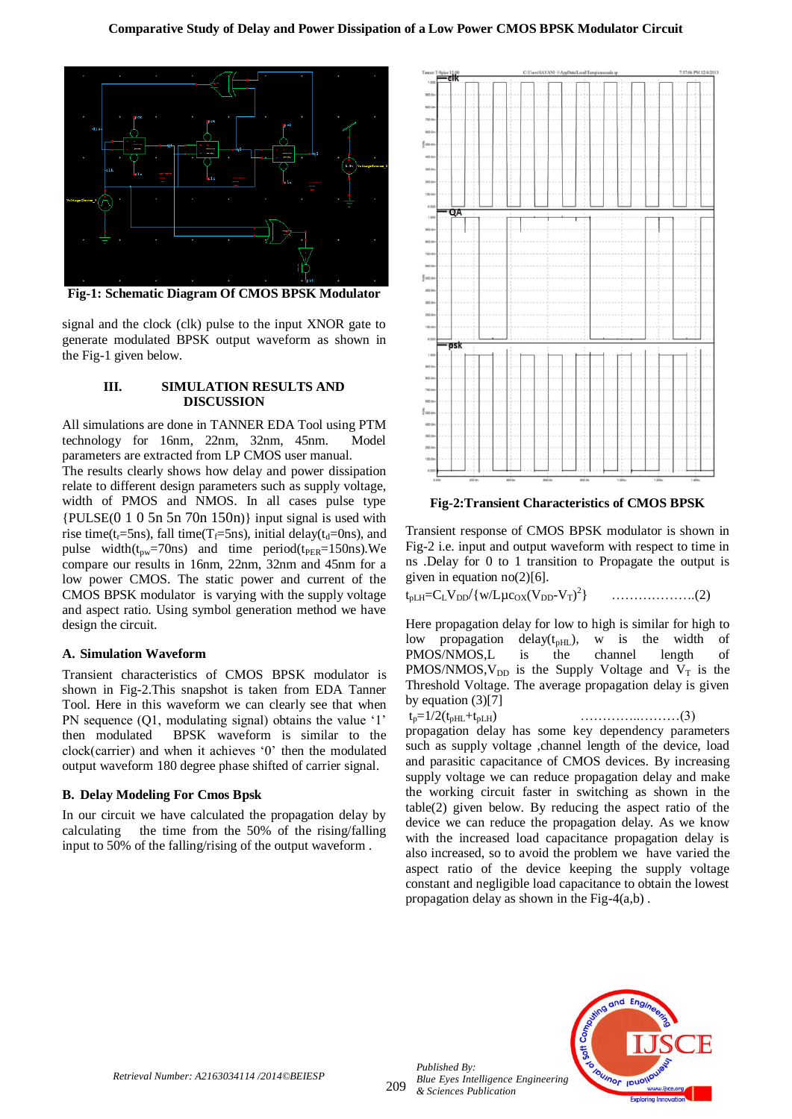

**Fig-1: Schematic Diagram Of CMOS BPSK Modulator**

signal and the clock (clk) pulse to the input XNOR gate to generate modulated BPSK output waveform as shown in the Fig-1 given below.

#### **III. SIMULATION RESULTS AND DISCUSSION**

All simulations are done in TANNER EDA Tool using PTM technology for 16nm, 22nm, 32nm, 45nm. Model parameters are extracted from LP CMOS user manual. The results clearly shows how delay and power dissipation relate to different design parameters such as supply voltage, width of PMOS and NMOS. In all cases pulse type  ${PULSE(0 1 0 5n 5n 70n 150n)}$  input signal is used with rise time(t<sub>r</sub>=5ns), fall time( $T_f$ =5ns), initial delay( $t_d$ =0ns), and pulse width $(t_{pw}=70 \text{ns})$  and time period( $t_{PER}=150 \text{ns}$ ). We compare our results in 16nm, 22nm, 32nm and 45nm for a low power CMOS. The static power and current of the CMOS BPSK modulator is varying with the supply voltage and aspect ratio. Using symbol generation method we have design the circuit.

#### **A. Simulation Waveform**

Transient characteristics of CMOS BPSK modulator is shown in Fig-2.This snapshot is taken from EDA Tanner Tool. Here in this waveform we can clearly see that when PN sequence (Q1, modulating signal) obtains the value '1' then modulated BPSK waveform is similar to the clock(carrier) and when it achieves "0" then the modulated output waveform 180 degree phase shifted of carrier signal.

#### **B. Delay Modeling For Cmos Bpsk**

In our circuit we have calculated the propagation delay by calculating the time from the 50% of the rising/falling input to 50% of the falling/rising of the output waveform .



**Fig-2:Transient Characteristics of CMOS BPSK**

Transient response of CMOS BPSK modulator is shown in Fig-2 i.e. input and output waveform with respect to time in ns .Delay for 0 to 1 transition to Propagate the output is given in equation  $no(2)[6]$ .

 $\text{t}_{\text{pLH}}=\text{C}_{\text{L}}\text{V}_{\text{DD}}/\{\text{w/L}\mu\text{c}_{\text{OX}}(\text{V}_{\text{DD}}\text{-}\text{V}_{\text{T}})^2$ } ……………….(2)

Here propagation delay for low to high is similar for high to low propagation delay( $t<sub>pHL</sub>$ ), w is the width of PMOS/NMOS,L is the channel length of PMOS/NMOS,  $V_{DD}$  is the Supply Voltage and  $V_T$  is the Threshold Voltage. The average propagation delay is given by equation (3)[7]

 $t_p=1/2(t_{pHL}+t_{pLH})$  ………………………(3) propagation delay has some key dependency parameters such as supply voltage ,channel length of the device, load and parasitic capacitance of CMOS devices. By increasing supply voltage we can reduce propagation delay and make the working circuit faster in switching as shown in the table(2) given below. By reducing the aspect ratio of the device we can reduce the propagation delay. As we know with the increased load capacitance propagation delay is also increased, so to avoid the problem we have varied the aspect ratio of the device keeping the supply voltage constant and negligible load capacitance to obtain the lowest propagation delay as shown in the Fig-4(a,b) .



209

*Published By:*

*& Sciences Publication*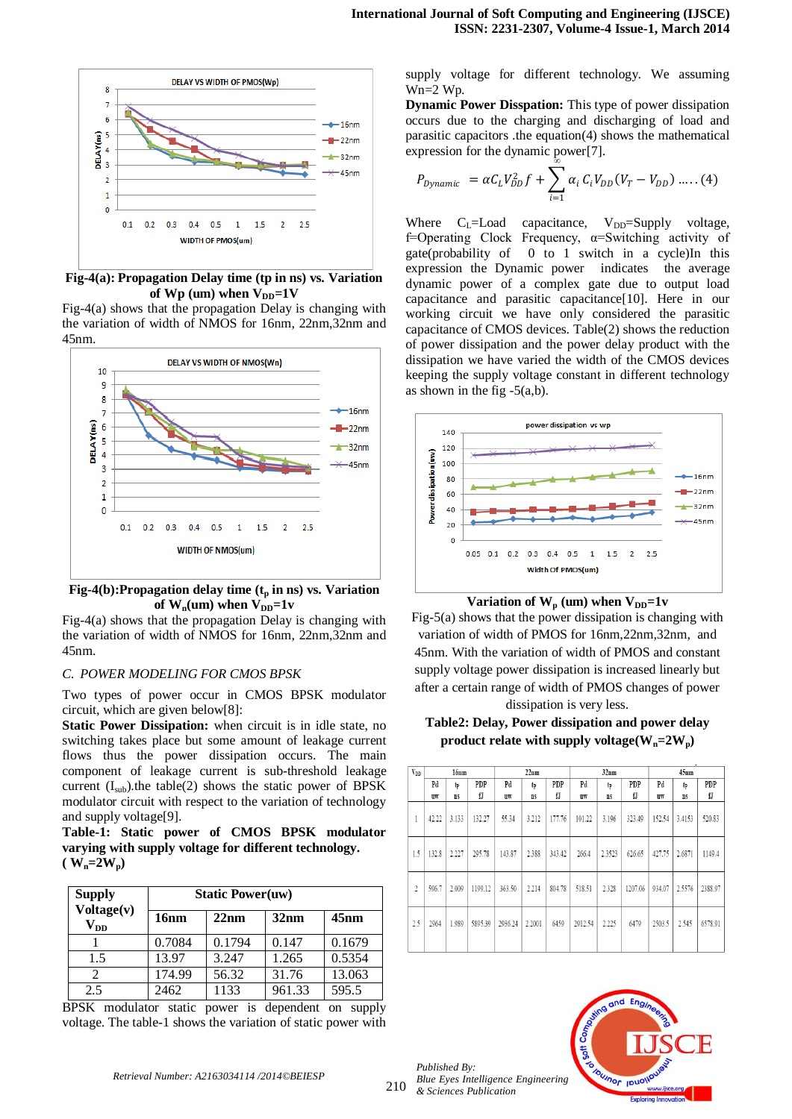

**Fig-4(a): Propagation Delay time (tp in ns) vs. Variation**  of  $Wp$  (um) when  $V_{DD} = 1V$ 

Fig-4(a) shows that the propagation Delay is changing with the variation of width of NMOS for 16nm, 22nm,32nm and 45nm.



**Fig-4(b):Propagation delay time (t<sup>p</sup> in ns) vs. Variation**  of  $W_n$ (um) when  $V_{DD} = 1v$ 

Fig-4(a) shows that the propagation Delay is changing with the variation of width of NMOS for 16nm, 22nm,32nm and 45nm.

## *C. POWER MODELING FOR CMOS BPSK*

Two types of power occur in CMOS BPSK modulator circuit, which are given below[8]:

**Static Power Dissipation:** when circuit is in idle state, no switching takes place but some amount of leakage current flows thus the power dissipation occurs. The main component of leakage current is sub-threshold leakage current  $(I<sub>sub</sub>)$ ).the table(2) shows the static power of BPSK modulator circuit with respect to the variation of technology and supply voltage[9].

**Table-1: Static power of CMOS BPSK modulator varying with supply voltage for different technology.**   $(W_n = 2W_p)$ 

| <b>Supply</b>                   | <b>Static Power(uw)</b> |        |        |         |  |  |
|---------------------------------|-------------------------|--------|--------|---------|--|--|
| Voltage(v)<br>$\mathbf{V_{DD}}$ | 16nm                    | 22nm   | 32nm   | $45$ nm |  |  |
|                                 | 0.7084                  | 0.1794 | 0.147  | 0.1679  |  |  |
| 1.5                             | 13.97                   | 3.247  | 1.265  | 0.5354  |  |  |
|                                 | 174.99                  | 56.32  | 31.76  | 13.063  |  |  |
| 2.5                             | 2462                    | 1133   | 961.33 | 595.5   |  |  |

BPSK modulator static power is dependent on supply voltage. The table-1 shows the variation of static power with supply voltage for different technology. We assuming Wn=2 Wp.

**Dynamic Power Disspation:** This type of power dissipation occurs due to the charging and discharging of load and parasitic capacitors .the equation(4) shows the mathematical expression for the dynamic power[7]. *∞*

$$
P_{Dynamic} = \alpha C_L V_{DD}^2 f + \sum_{i=1} \alpha_i C_i V_{DD} (V_T - V_{DD}) .....(4)
$$

Where  $C_L$ =Load capacitance,  $V_{DD}$ =Supply voltage, f=Operating Clock Frequency,  $\alpha$ =Switching activity of gate(probability of 0 to 1 switch in a cycle)In this expression the Dynamic power indicates the average dynamic power of a complex gate due to output load capacitance and parasitic capacitance[10]. Here in our working circuit we have only considered the parasitic capacitance of CMOS devices. Table(2) shows the reduction of power dissipation and the power delay product with the dissipation we have varied the width of the CMOS devices keeping the supply voltage constant in different technology as shown in the fig  $-5(a,b)$ .





Fig-5(a) shows that the power dissipation is changing with variation of width of PMOS for 16nm,22nm,32nm, and 45nm. With the variation of width of PMOS and constant supply voltage power dissipation is increased linearly but after a certain range of width of PMOS changes of power dissipation is very less.

**Table2: Delay, Power dissipation and power delay**  product relate with supply voltage( $W_n = 2W_p$ )

| <b>V<sub>DD</sub></b> | 16 <sub>nm</sub> |           | 22nm       |         | 32nm      |            | $45$ nm   |           |            |        |           |            |
|-----------------------|------------------|-----------|------------|---------|-----------|------------|-----------|-----------|------------|--------|-----------|------------|
|                       | Pd               | tp        | <b>PDP</b> | Pd      | tp        | <b>PDP</b> | Pd        | tp        | <b>PDP</b> | Pd     | tp        | <b>PDP</b> |
|                       | uw               | <b>ns</b> | fJ         | uw      | <b>ns</b> | fJ         | <b>UW</b> | <b>ns</b> | fJ         | uw     | <b>ns</b> | fJ         |
| 1                     | 42.22            | 3.133     | 132.27     | 55.34   | 3.212     | 177.76     | 101.22    | 3.196     | 323.49     | 152.54 | 3.4153    | 520.83     |
| 1.5                   | 132.8            | 2.227     | 295.78     | 143.87  | 2.388     | 343.42     | 266.4     | 2.3523    | 626.65     | 427.75 | 2.6871    | 1149.4     |
| 2                     | 596.7            | 2.009     | 1199.12    | 363.50  | 2.214     | 804.78     | 518.51    | 2.328     | 1207.06    | 934.07 | 2.5576    | 2388.97    |
| 2.5                   | 2964             | 1.989     | 5895.39    | 2936.24 | 2.2001    | 6459       | 2912.54   | 2.225     | 6479       | 2503.5 | 2.545     | 6578.91    |



*Published By:*

*& Sciences Publication*